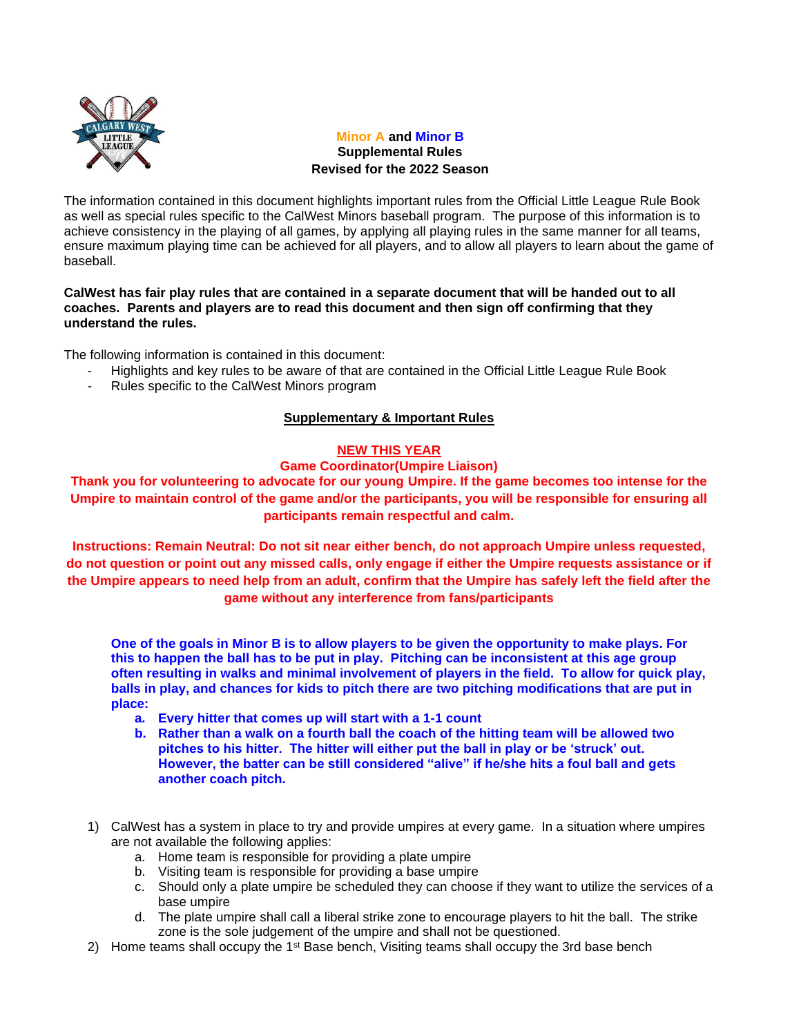

# **Minor A and Minor B Supplemental Rules Revised for the 2022 Season**

The information contained in this document highlights important rules from the Official Little League Rule Book as well as special rules specific to the CalWest Minors baseball program. The purpose of this information is to achieve consistency in the playing of all games, by applying all playing rules in the same manner for all teams, ensure maximum playing time can be achieved for all players, and to allow all players to learn about the game of baseball.

## **CalWest has fair play rules that are contained in a separate document that will be handed out to all coaches. Parents and players are to read this document and then sign off confirming that they understand the rules.**

The following information is contained in this document:

- Highlights and key rules to be aware of that are contained in the Official Little League Rule Book
- Rules specific to the CalWest Minors program

# **Supplementary & Important Rules**

## **NEW THIS YEAR**

## **Game Coordinator(Umpire Liaison)**

**Thank you for volunteering to advocate for our young Umpire. If the game becomes too intense for the Umpire to maintain control of the game and/or the participants, you will be responsible for ensuring all participants remain respectful and calm.**

**Instructions: Remain Neutral: Do not sit near either bench, do not approach Umpire unless requested, do not question or point out any missed calls, only engage if either the Umpire requests assistance or if the Umpire appears to need help from an adult, confirm that the Umpire has safely left the field after the game without any interference from fans/participants**

**One of the goals in Minor B is to allow players to be given the opportunity to make plays. For this to happen the ball has to be put in play. Pitching can be inconsistent at this age group often resulting in walks and minimal involvement of players in the field. To allow for quick play, balls in play, and chances for kids to pitch there are two pitching modifications that are put in place:**

- **a. Every hitter that comes up will start with a 1-1 count**
- **b. Rather than a walk on a fourth ball the coach of the hitting team will be allowed two pitches to his hitter. The hitter will either put the ball in play or be 'struck' out. However, the batter can be still considered "alive" if he/she hits a foul ball and gets another coach pitch.**
- 1) CalWest has a system in place to try and provide umpires at every game. In a situation where umpires are not available the following applies:
	- a. Home team is responsible for providing a plate umpire
	- b. Visiting team is responsible for providing a base umpire
	- c. Should only a plate umpire be scheduled they can choose if they want to utilize the services of a base umpire
	- d. The plate umpire shall call a liberal strike zone to encourage players to hit the ball. The strike zone is the sole judgement of the umpire and shall not be questioned.
- 2) Home teams shall occupy the 1<sup>st</sup> Base bench, Visiting teams shall occupy the 3rd base bench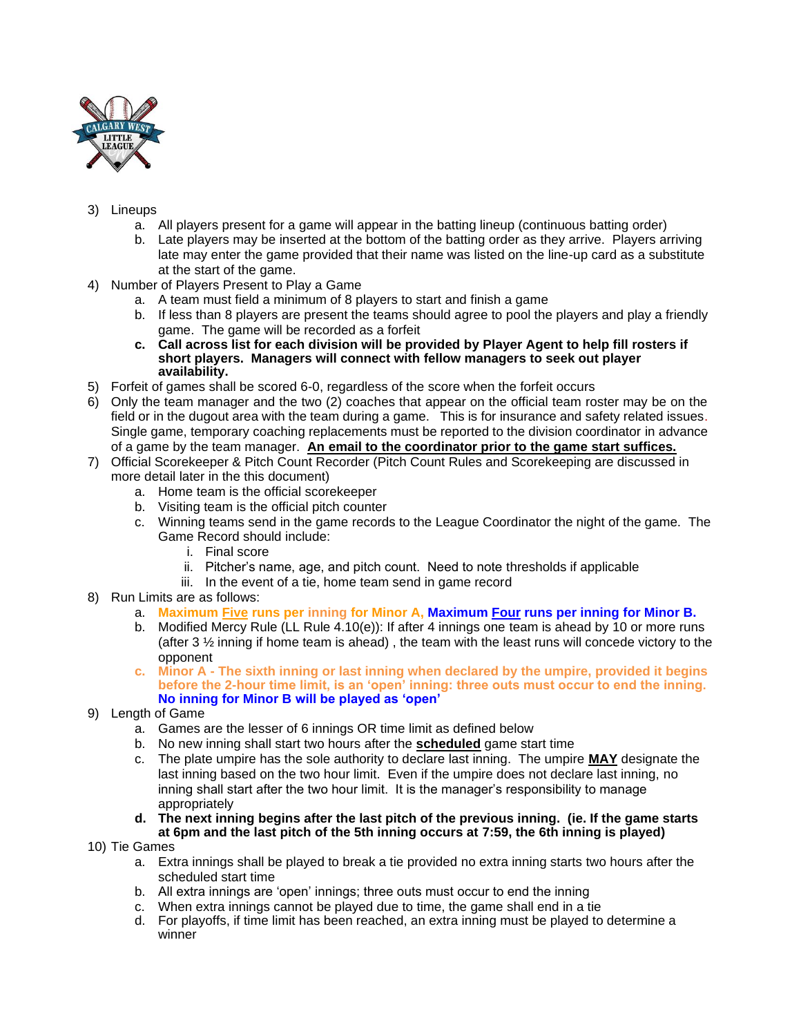

# 3) Lineups

- a. All players present for a game will appear in the batting lineup (continuous batting order)
- b. Late players may be inserted at the bottom of the batting order as they arrive. Players arriving late may enter the game provided that their name was listed on the line-up card as a substitute at the start of the game.
- 4) Number of Players Present to Play a Game
	- a. A team must field a minimum of 8 players to start and finish a game
	- b. If less than 8 players are present the teams should agree to pool the players and play a friendly game. The game will be recorded as a forfeit
	- **c. Call across list for each division will be provided by Player Agent to help fill rosters if short players. Managers will connect with fellow managers to seek out player availability.**
- 5) Forfeit of games shall be scored 6-0, regardless of the score when the forfeit occurs
- 6) Only the team manager and the two (2) coaches that appear on the official team roster may be on the field or in the dugout area with the team during a game. This is for insurance and safety related issues. Single game, temporary coaching replacements must be reported to the division coordinator in advance of a game by the team manager. **An email to the coordinator prior to the game start suffices.**
- 7) Official Scorekeeper & Pitch Count Recorder (Pitch Count Rules and Scorekeeping are discussed in more detail later in the this document)
	- a. Home team is the official scorekeeper
	- b. Visiting team is the official pitch counter
	- c. Winning teams send in the game records to the League Coordinator the night of the game. The Game Record should include:
		- i. Final score
		- ii. Pitcher's name, age, and pitch count. Need to note thresholds if applicable
		- iii. In the event of a tie, home team send in game record
- 8) Run Limits are as follows:
	- a. **Maximum Five runs per inning for Minor A, Maximum Four runs per inning for Minor B.**
	- b. Modified Mercy Rule (LL Rule 4.10(e)): If after 4 innings one team is ahead by 10 or more runs (after 3  $\frac{1}{2}$  inning if home team is ahead), the team with the least runs will concede victory to the opponent
	- **c. Minor A - The sixth inning or last inning when declared by the umpire, provided it begins before the 2-hour time limit, is an 'open' inning: three outs must occur to end the inning. No inning for Minor B will be played as 'open'**
- 9) Length of Game
	- a. Games are the lesser of 6 innings OR time limit as defined below
	- b. No new inning shall start two hours after the **scheduled** game start time
	- c. The plate umpire has the sole authority to declare last inning. The umpire **MAY** designate the last inning based on the two hour limit. Even if the umpire does not declare last inning, no inning shall start after the two hour limit. It is the manager's responsibility to manage appropriately
	- **d. The next inning begins after the last pitch of the previous inning. (ie. If the game starts at 6pm and the last pitch of the 5th inning occurs at 7:59, the 6th inning is played)**
- 10) Tie Games
	- a. Extra innings shall be played to break a tie provided no extra inning starts two hours after the scheduled start time
	- b. All extra innings are 'open' innings; three outs must occur to end the inning
	- c. When extra innings cannot be played due to time, the game shall end in a tie
	- d. For playoffs, if time limit has been reached, an extra inning must be played to determine a winner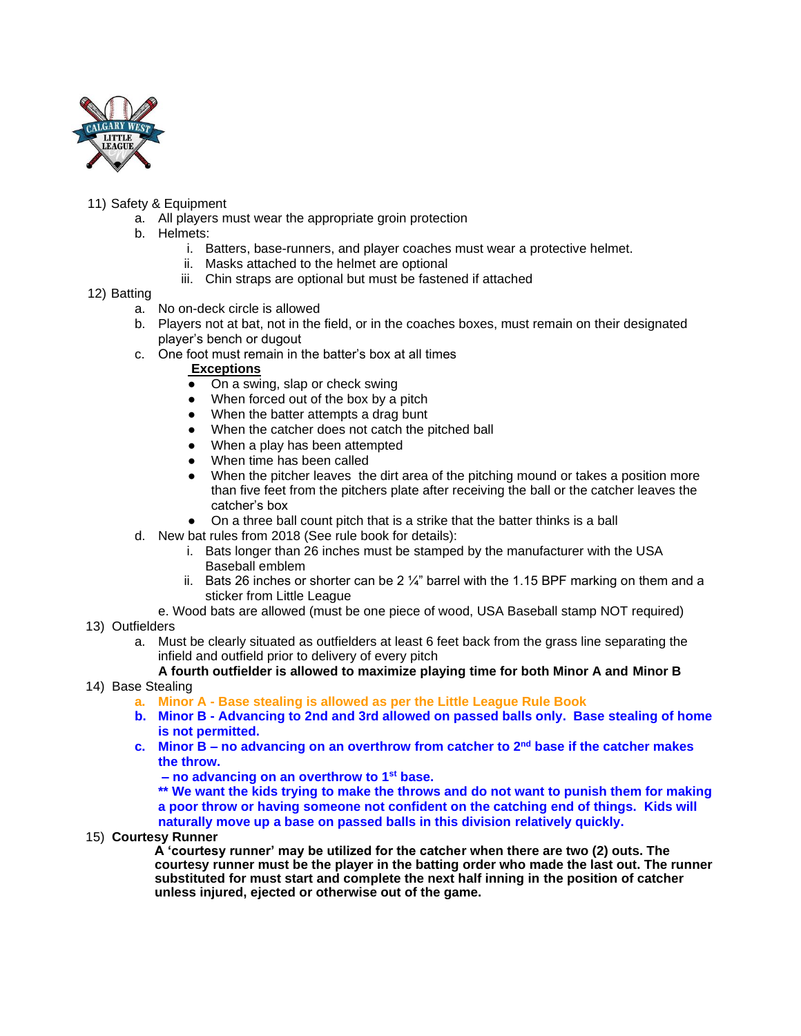

# 11) Safety & Equipment

- a. All players must wear the appropriate groin protection
- b. Helmets:
	- i. Batters, base-runners, and player coaches must wear a protective helmet.
	- ii. Masks attached to the helmet are optional
	- iii. Chin straps are optional but must be fastened if attached
- 12) Batting
	- a. No on-deck circle is allowed
	- b. Players not at bat, not in the field, or in the coaches boxes, must remain on their designated player's bench or dugout
	- c. One foot must remain in the batter's box at all times

## **Exceptions**

- On a swing, slap or check swing
- When forced out of the box by a pitch
- When the batter attempts a drag bunt
- When the catcher does not catch the pitched ball
- When a play has been attempted
- When time has been called
- When the pitcher leaves the dirt area of the pitching mound or takes a position more than five feet from the pitchers plate after receiving the ball or the catcher leaves the catcher's box
- On a three ball count pitch that is a strike that the batter thinks is a ball
- d. New bat rules from 2018 (See rule book for details):
	- i. Bats longer than 26 inches must be stamped by the manufacturer with the USA Baseball emblem
	- ii. Bats 26 inches or shorter can be 2  $\frac{1}{4}$ " barrel with the 1.15 BPF marking on them and a sticker from Little League
	- e. Wood bats are allowed (must be one piece of wood, USA Baseball stamp NOT required)
- 13) Outfielders
	- a. Must be clearly situated as outfielders at least 6 feet back from the grass line separating the infield and outfield prior to delivery of every pitch
- **A fourth outfielder is allowed to maximize playing time for both Minor A and Minor B** 14) Base Stealing
	- **a. Minor A - Base stealing is allowed as per the Little League Rule Book**
	- **b. Minor B - Advancing to 2nd and 3rd allowed on passed balls only. Base stealing of home is not permitted.**
	- **c. Minor B – no advancing on an overthrow from catcher to 2nd base if the catcher makes the throw.**
		- **– no advancing on an overthrow to 1st base.**
		- **\*\* We want the kids trying to make the throws and do not want to punish them for making a poor throw or having someone not confident on the catching end of things. Kids will**

**naturally move up a base on passed balls in this division relatively quickly.**

15) **Courtesy Runner** 

 **A 'courtesy runner' may be utilized for the catcher when there are two (2) outs. The courtesy runner must be the player in the batting order who made the last out. The runner substituted for must start and complete the next half inning in the position of catcher unless injured, ejected or otherwise out of the game.**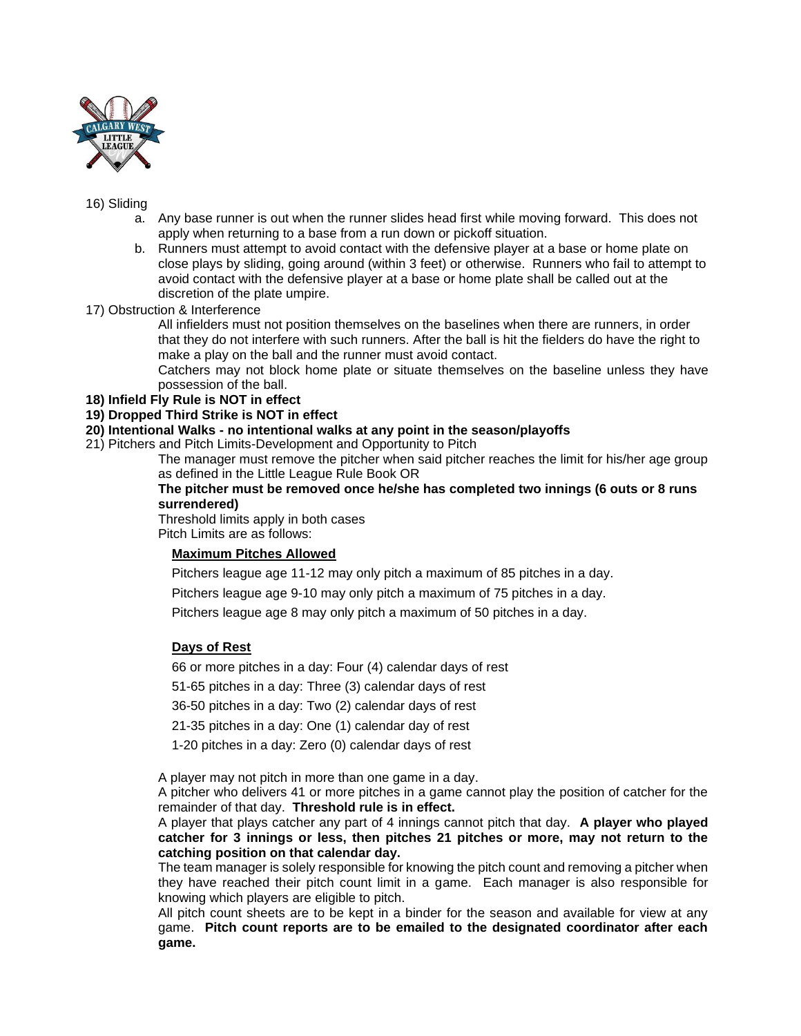

#### 16) Sliding

- a. Any base runner is out when the runner slides head first while moving forward. This does not apply when returning to a base from a run down or pickoff situation.
- b. Runners must attempt to avoid contact with the defensive player at a base or home plate on close plays by sliding, going around (within 3 feet) or otherwise. Runners who fail to attempt to avoid contact with the defensive player at a base or home plate shall be called out at the discretion of the plate umpire.
- 17) Obstruction & Interference

All infielders must not position themselves on the baselines when there are runners, in order that they do not interfere with such runners. After the ball is hit the fielders do have the right to make a play on the ball and the runner must avoid contact.

Catchers may not block home plate or situate themselves on the baseline unless they have possession of the ball.

## **18) Infield Fly Rule is NOT in effect**

## **19) Dropped Third Strike is NOT in effect**

**20) Intentional Walks - no intentional walks at any point in the season/playoffs**

21) Pitchers and Pitch Limits-Development and Opportunity to Pitch

The manager must remove the pitcher when said pitcher reaches the limit for his/her age group as defined in the Little League Rule Book OR

#### **The pitcher must be removed once he/she has completed two innings (6 outs or 8 runs surrendered)**

Threshold limits apply in both cases Pitch Limits are as follows:

# **Maximum Pitches Allowed**

Pitchers league age 11-12 may only pitch a maximum of 85 pitches in a day.

Pitchers league age 9-10 may only pitch a maximum of 75 pitches in a day.

Pitchers league age 8 may only pitch a maximum of 50 pitches in a day.

# **Days of Rest**

66 or more pitches in a day: Four (4) calendar days of rest

51-65 pitches in a day: Three (3) calendar days of rest

36-50 pitches in a day: Two (2) calendar days of rest

21-35 pitches in a day: One (1) calendar day of rest

1-20 pitches in a day: Zero (0) calendar days of rest

A player may not pitch in more than one game in a day.

A pitcher who delivers 41 or more pitches in a game cannot play the position of catcher for the remainder of that day. **Threshold rule is in effect.**

A player that plays catcher any part of 4 innings cannot pitch that day. **A player who played catcher for 3 innings or less, then pitches 21 pitches or more, may not return to the catching position on that calendar day.**

The team manager is solely responsible for knowing the pitch count and removing a pitcher when they have reached their pitch count limit in a game. Each manager is also responsible for knowing which players are eligible to pitch.

All pitch count sheets are to be kept in a binder for the season and available for view at any game. **Pitch count reports are to be emailed to the designated coordinator after each game.**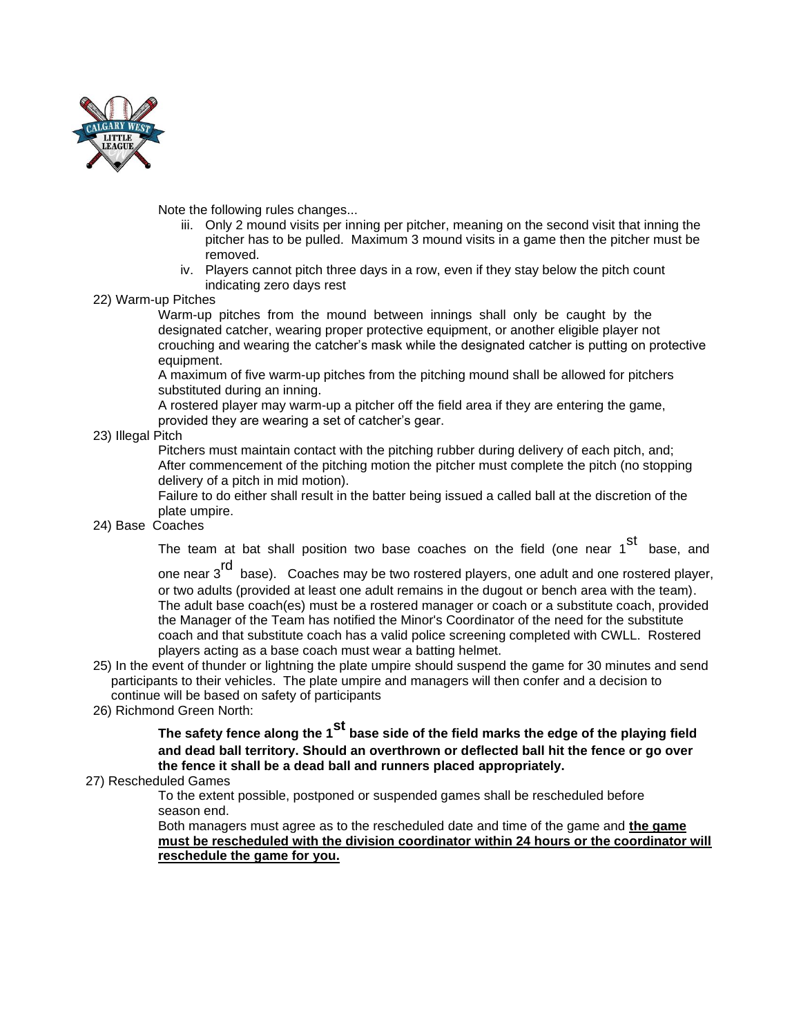

Note the following rules changes...

- iii. Only 2 mound visits per inning per pitcher, meaning on the second visit that inning the pitcher has to be pulled. Maximum 3 mound visits in a game then the pitcher must be removed.
- iv. Players cannot pitch three days in a row, even if they stay below the pitch count indicating zero days rest

#### 22) Warm-up Pitches

Warm-up pitches from the mound between innings shall only be caught by the designated catcher, wearing proper protective equipment, or another eligible player not crouching and wearing the catcher's mask while the designated catcher is putting on protective equipment.

A maximum of five warm-up pitches from the pitching mound shall be allowed for pitchers substituted during an inning.

A rostered player may warm-up a pitcher off the field area if they are entering the game, provided they are wearing a set of catcher's gear.

#### 23) Illegal Pitch

Pitchers must maintain contact with the pitching rubber during delivery of each pitch, and; After commencement of the pitching motion the pitcher must complete the pitch (no stopping delivery of a pitch in mid motion).

Failure to do either shall result in the batter being issued a called ball at the discretion of the plate umpire.

## 24) Base Coaches

The team at bat shall position two base coaches on the field (one near 1<sup>st</sup> base, and

one near 3<sup>rd</sup> base). Coaches may be two rostered players, one adult and one rostered player, or two adults (provided at least one adult remains in the dugout or bench area with the team). The adult base coach(es) must be a rostered manager or coach or a substitute coach, provided the Manager of the Team has notified the Minor's Coordinator of the need for the substitute coach and that substitute coach has a valid police screening completed with CWLL. Rostered players acting as a base coach must wear a batting helmet.

- 25) In the event of thunder or lightning the plate umpire should suspend the game for 30 minutes and send participants to their vehicles. The plate umpire and managers will then confer and a decision to continue will be based on safety of participants
- 26) Richmond Green North:

**The safety fence along the 1st base side of the field marks the edge of the playing field and dead ball territory. Should an overthrown or deflected ball hit the fence or go over the fence it shall be a dead ball and runners placed appropriately.**

#### 27) Rescheduled Games

To the extent possible, postponed or suspended games shall be rescheduled before season end.

Both managers must agree as to the rescheduled date and time of the game and **the game must be rescheduled with the division coordinator within 24 hours or the coordinator will reschedule the game for you.**